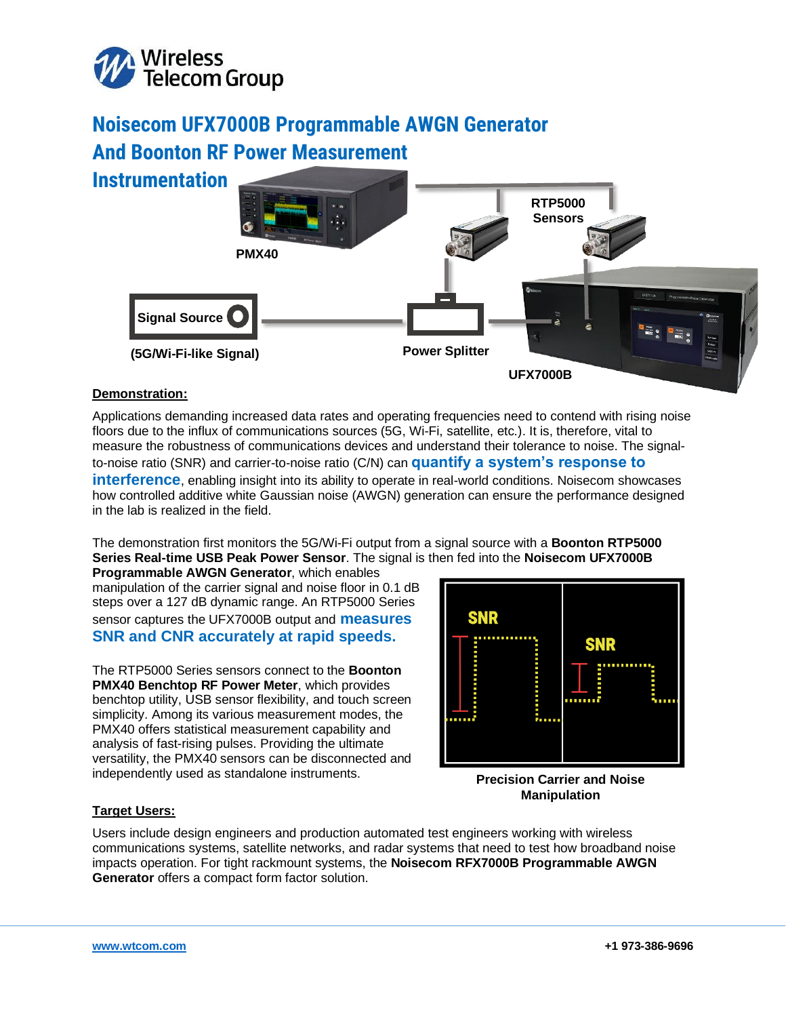

# **Noisecom UFX7000B Programmable AWGN Generator And Boonton RF Power Measurement**

**Instrumentation**



# **Demonstration:**

Applications demanding increased data rates and operating frequencies need to contend with rising noise floors due to the influx of communications sources (5G, Wi-Fi, satellite, etc.). It is, therefore, vital to measure the robustness of communications devices and understand their tolerance to noise. The signalto-noise ratio (SNR) and carrier-to-noise ratio (C/N) can **quantify a system's response to interference**, enabling insight into its ability to operate in real-world conditions. Noisecom showcases how controlled additive white Gaussian noise (AWGN) generation can ensure the performance designed in the lab is realized in the field.

The demonstration first monitors the 5G/Wi-Fi output from a signal source with a **Boonton RTP5000 Series Real-time USB Peak Power Sensor**. The signal is then fed into the **Noisecom UFX7000B** 

**Programmable AWGN Generator**, which enables manipulation of the carrier signal and noise floor in 0.1 dB steps over a 127 dB dynamic range. An RTP5000 Series sensor captures the UFX7000B output and **measures SNR and CNR accurately at rapid speeds.**

The RTP5000 Series sensors connect to the **Boonton PMX40 Benchtop RF Power Meter**, which provides benchtop utility, USB sensor flexibility, and touch screen simplicity. Among its various measurement modes, the PMX40 offers statistical measurement capability and analysis of fast-rising pulses. Providing the ultimate versatility, the PMX40 sensors can be disconnected and independently used as standalone instruments.



**Precision Carrier and Noise Manipulation**

# **Target Users:**

Users include design engineers and production automated test engineers working with wireless communications systems, satellite networks, and radar systems that need to test how broadband noise impacts operation. For tight rackmount systems, the **Noisecom RFX7000B Programmable AWGN Generator** offers a compact form factor solution.